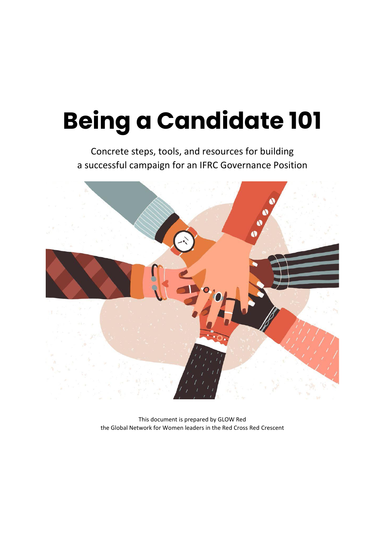# **Being a Candidate 101**

Concrete steps, tools, and resources for building a successful campaign for an IFRC Governance Position



This document is prepared by GLOW Red the Global Network for Women leaders in the Red Cross Red Crescent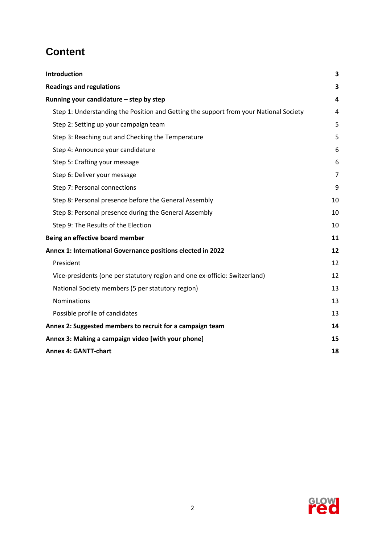# **Content**

| Introduction                                                                          | 3              |
|---------------------------------------------------------------------------------------|----------------|
| <b>Readings and regulations</b>                                                       | 3              |
| Running your candidature - step by step                                               | 4              |
| Step 1: Understanding the Position and Getting the support from your National Society | 4              |
| Step 2: Setting up your campaign team                                                 | 5              |
| Step 3: Reaching out and Checking the Temperature                                     | 5              |
| Step 4: Announce your candidature                                                     | 6              |
| Step 5: Crafting your message                                                         | 6              |
| Step 6: Deliver your message                                                          | $\overline{7}$ |
| Step 7: Personal connections                                                          | 9              |
| Step 8: Personal presence before the General Assembly                                 | 10             |
| Step 8: Personal presence during the General Assembly                                 | 10             |
| Step 9: The Results of the Election                                                   | 10             |
| Being an effective board member                                                       | 11             |
| Annex 1: International Governance positions elected in 2022                           |                |
| President                                                                             | 12             |
| Vice-presidents (one per statutory region and one ex-officio: Switzerland)            | 12             |
| National Society members (5 per statutory region)                                     | 13             |
| <b>Nominations</b>                                                                    | 13             |
| Possible profile of candidates                                                        | 13             |
| Annex 2: Suggested members to recruit for a campaign team                             | 14             |
| Annex 3: Making a campaign video [with your phone]                                    | 15             |
| <b>Annex 4: GANTT-chart</b>                                                           | 18             |

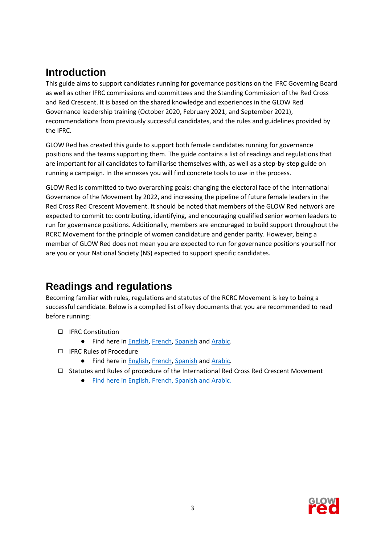# <span id="page-2-0"></span>**Introduction**

This guide aims to support candidates running for governance positions on the IFRC Governing Board as well as other IFRC commissions and committees and the Standing Commission of the Red Cross and Red Crescent. It is based on the shared knowledge and experiences in the GLOW Red Governance leadership training (October 2020, February 2021, and September 2021), recommendations from previously successful candidates, and the rules and guidelines provided by the IFRC.

GLOW Red has created this guide to support both female candidates running for governance positions and the teams supporting them. The guide contains a list of readings and regulations that are important for all candidates to familiarise themselves with, as well as a step-by-step guide on running a campaign. In the annexes you will find concrete tools to use in the process.

GLOW Red is committed to two overarching goals: changing the electoral face of the International Governance of the Movement by 2022, and increasing the pipeline of future female leaders in the Red Cross Red Crescent Movement. It should be noted that members of the GLOW Red network are expected to commit to: contributing, identifying, and encouraging qualified senior women leaders to run for governance positions. Additionally, members are encouraged to build support throughout the RCRC Movement for the principle of women candidature and gender parity. However, being a member of GLOW Red does not mean you are expected to run for governance positions yourself nor are you or your National Society (NS) expected to support specific candidates.

# <span id="page-2-1"></span>**Readings and regulations**

Becoming familiar with rules, regulations and statutes of the RCRC Movement is key to being a successful candidate. Below is a compiled list of key documents that you are recommended to read before running:

- ◻ IFRC Constitution
	- **•** Find here in **English, [French,](https://www.ifrc.org/fr/media/49041) [Spanish](https://www.ifrc.org/es/media/49041) and [Arabic.](https://www.ifrc.org/ar/statutory-texts)**
- ◻ IFRC Rules of Procedure
	- Find here in [English,](https://www.ifrc.org/statutory-texts) [French,](https://www.ifrc.org/fr/media/49041) [Spanish](https://www.ifrc.org/es/media/49041) and [Arabic.](https://www.ifrc.org/ar/statutory-texts)
- ◻ Statutes and Rules of procedure of the International Red Cross Red Crescent Movement
	- [Find here in English, French, Spanish and Arabic.](https://standcom.ch/statutes-and-rules-of-procedure/)

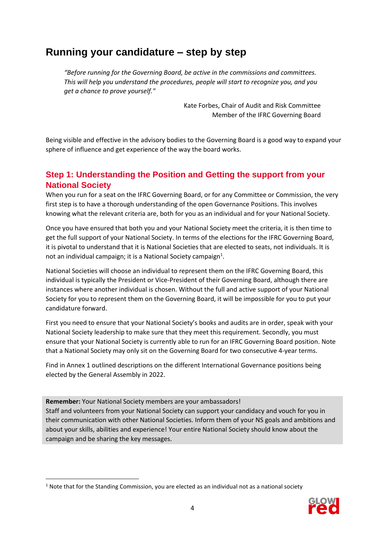# <span id="page-3-0"></span>**Running your candidature – step by step**

*"Before running for the Governing Board, be active in the commissions and committees. This will help you understand the procedures, people will start to recognize you, and you get a chance to prove yourself."* 

> Kate Forbes, Chair of Audit and Risk Committee Member of the IFRC Governing Board

Being visible and effective in the advisory bodies to the Governing Board is a good way to expand your sphere of influence and get experience of the way the board works.

# <span id="page-3-1"></span>**Step 1: Understanding the Position and Getting the support from your National Society**

When you run for a seat on the IFRC Governing Board, or for any Committee or Commission, the very first step is to have a thorough understanding of the open Governance Positions. This involves knowing what the relevant criteria are, both for you as an individual and for your National Society.

Once you have ensured that both you and your National Society meet the criteria, it is then time to get the full support of your National Society. In terms of the elections for the IFRC Governing Board, it is pivotal to understand that it is National Societies that are elected to seats, not individuals. It is not an individual campaign; it is a National Society campaign<sup>1</sup>.

National Societies will choose an individual to represent them on the IFRC Governing Board, this individual is typically the President or Vice-President of their Governing Board, although there are instances where another individual is chosen. Without the full and active support of your National Society for you to represent them on the Governing Board, it will be impossible for you to put your candidature forward.

First you need to ensure that your National Society's books and audits are in order, speak with your National Society leadership to make sure that they meet this requirement. Secondly, you must ensure that your National Society is currently able to run for an IFRC Governing Board position. Note that a National Society may only sit on the Governing Board for two consecutive 4-year terms.

Find in Annex 1 outlined descriptions on the different International Governance positions being elected by the General Assembly in 2022.

**Remember:** Your National Society members are your ambassadors!

Staff and volunteers from your National Society can support your candidacy and vouch for you in their communication with other National Societies. Inform them of your NS goals and ambitions and about your skills, abilities and experience! Your entire National Society should know about the campaign and be sharing the key messages.

<span id="page-3-2"></span> $<sup>1</sup>$  Note that for the Standing Commission, you are elected as an individual not as a national society</sup>

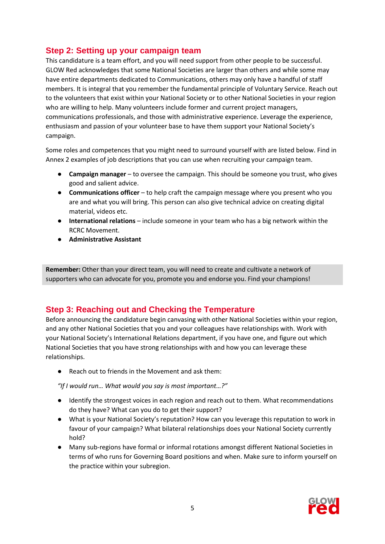## **Step 2: Setting up your campaign team**

This candidature is a team effort, and you will need support from other people to be successful. GLOW Red acknowledges that some National Societies are larger than others and while some may have entire departments dedicated to Communications, others may only have a handful of staff members. It is integral that you remember the fundamental principle of Voluntary Service. Reach out to the volunteers that exist within your National Society or to other National Societies in your region who are willing to help. Many volunteers include former and current project managers, communications professionals, and those with administrative experience. Leverage the experience, enthusiasm and passion of your volunteer base to have them support your National Society's campaign.

Some roles and competences that you might need to surround yourself with are listed below. Find in Annex 2 examples of job descriptions that you can use when recruiting your campaign team.

- **Campaign manager** to oversee the campaign. This should be someone you trust, who gives good and salient advice.
- **Communications officer** to help craft the campaign message where you present who you are and what you will bring. This person can also give technical advice on creating digital material, videos etc.
- **International relations** include someone in your team who has a big network within the RCRC Movement.
- **Administrative Assistant**

**Remember:** Other than your direct team, you will need to create and cultivate a network of supporters who can advocate for you, promote you and endorse you. Find your champions!

## <span id="page-4-0"></span>**Step 3: Reaching out and Checking the Temperature**

Before announcing the candidature begin canvasing with other National Societies within your region, and any other National Societies that you and your colleagues have relationships with. Work with your National Society's International Relations department, if you have one, and figure out which National Societies that you have strong relationships with and how you can leverage these relationships.

● Reach out to friends in the Movement and ask them:

*"If I would run… What would you say is most important…?"*

- Identify the strongest voices in each region and reach out to them. What recommendations do they have? What can you do to get their support?
- What is your National Society's reputation? How can you leverage this reputation to work in favour of your campaign? What bilateral relationships does your National Society currently hold?
- Many sub-regions have formal or informal rotations amongst different National Societies in terms of who runs for Governing Board positions and when. Make sure to inform yourself on the practice within your subregion.

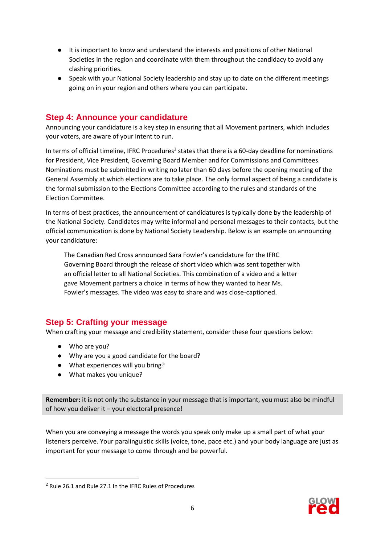- It is important to know and understand the interests and positions of other National Societies in the region and coordinate with them throughout the candidacy to avoid any clashing priorities.
- Speak with your National Society leadership and stay up to date on the different meetings going on in your region and others where you can participate.

# <span id="page-5-0"></span>**Step 4: Announce your candidature**

Announcing your candidature is a key step in ensuring that all Movement partners, which includes your voters, are aware of your intent to run.

In terms of official timeline, IFRC Procedures<sup>2</sup> states that there is a 60-day deadline for nominations for President, Vice President, Governing Board Member and for Commissions and Committees. Nominations must be submitted in writing no later than 60 days before the opening meeting of the General Assembly at which elections are to take place. The only formal aspect of being a candidate is the formal submission to the Elections Committee according to the rules and standards of the Election Committee.

In terms of best practices, the announcement of candidatures is typically done by the leadership of the National Society. Candidates may write informal and personal messages to their contacts, but the official communication is done by National Society Leadership. Below is an example on announcing your candidature:

The Canadian Red Cross announced Sara Fowler's candidature for the IFRC Governing Board through the release of short video which was sent together with an official letter to all National Societies. This combination of a video and a letter gave Movement partners a choice in terms of how they wanted to hear Ms. Fowler's messages. The video was easy to share and was close-captioned.

# <span id="page-5-1"></span>**Step 5: Crafting your message**

When crafting your message and credibility statement, consider these four questions below:

- Who are you?
- Why are you a good candidate for the board?
- What experiences will you bring?
- What makes you unique?

**Remember:** it is not only the substance in your message that is important, you must also be mindful of how you deliver it – your electoral presence!

When you are conveying a message the words you speak only make up a small part of what your listeners perceive. Your paralinguistic skills (voice, tone, pace etc.) and your body language are just as important for your message to come through and be powerful.



<sup>2</sup> Rule 26.1 and Rule 27.1 In the IFRC Rules of Procedures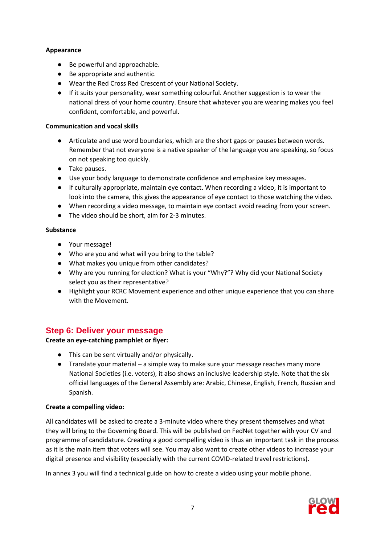#### **Appearance**

- Be powerful and approachable.
- Be appropriate and authentic.
- Wear the Red Cross Red Crescent of your National Society.
- If it suits your personality, wear something colourful. Another suggestion is to wear the national dress of your home country. Ensure that whatever you are wearing makes you feel confident, comfortable, and powerful.

#### **Communication and vocal skills**

- Articulate and use word boundaries, which are the short gaps or pauses between words. Remember that not everyone is a native speaker of the language you are speaking, so focus on not speaking too quickly.
- Take pauses.
- Use your body language to demonstrate confidence and emphasize key messages.
- If culturally appropriate, maintain eye contact. When recording a video, it is important to look into the camera, this gives the appearance of eye contact to those watching the video.
- When recording a video message, to maintain eye contact avoid reading from your screen.
- The video should be short, aim for 2-3 minutes.

#### **Substance**

- Your message!
- Who are you and what will you bring to the table?
- What makes you unique from other candidates?
- Why are you running for election? What is your "Why?"? Why did your National Society select you as their representative?
- Highlight your RCRC Movement experience and other unique experience that you can share with the Movement.

# <span id="page-6-0"></span>**Step 6: Deliver your message**

## **Create an eye-catching pamphlet or flyer:**

- This can be sent virtually and/or physically.
- $\bullet$  Translate your material a simple way to make sure your message reaches many more National Societies (i.e. voters), it also shows an inclusive leadership style. Note that the six official languages of the General Assembly are: Arabic, Chinese, English, French, Russian and Spanish.

## **Create a compelling video:**

All candidates will be asked to create a 3-minute video where they present themselves and what they will bring to the Governing Board. This will be published on FedNet together with your CV and programme of candidature. Creating a good compelling video is thus an important task in the process as it is the main item that voters will see. You may also want to create other videos to increase your digital presence and visibility (especially with the current COVID-related travel restrictions).

In annex 3 you will find a technical guide on how to create a video using your mobile phone.

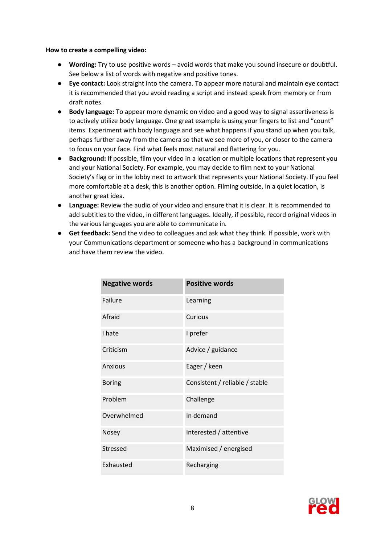#### **How to create a compelling video:**

- **Wording:** Try to use positive words avoid words that make you sound insecure or doubtful. See below a list of words with negative and positive tones.
- **Eye contact:** Look straight into the camera. To appear more natural and maintain eye contact it is recommended that you avoid reading a script and instead speak from memory or from draft notes.
- **Body language:** To appear more dynamic on video and a good way to signal assertiveness is to actively utilize body language. One great example is using your fingers to list and "count" items. Experiment with body language and see what happens if you stand up when you talk, perhaps further away from the camera so that we see more of you, or closer to the camera to focus on your face. Find what feels most natural and flattering for you.
- **Background:** If possible, film your video in a location or multiple locations that represent you and your National Society. For example, you may decide to film next to your National Society's flag or in the lobby next to artwork that represents your National Society. If you feel more comfortable at a desk, this is another option. Filming outside, in a quiet location, is another great idea.
- **Language:** Review the audio of your video and ensure that it is clear. It is recommended to add subtitles to the video, in different languages. Ideally, if possible, record original videos in the various languages you are able to communicate in.
- **Get feedback:** Send the video to colleagues and ask what they think. If possible, work with your Communications department or someone who has a background in communications and have them review the video.

| <b>Negative words</b> | <b>Positive words</b>          |
|-----------------------|--------------------------------|
| Failure               | Learning                       |
| Afraid                | Curious                        |
| I hate                | I prefer                       |
| Criticism             | Advice / guidance              |
| <b>Anxious</b>        | Eager / keen                   |
| <b>Boring</b>         | Consistent / reliable / stable |
| Problem               | Challenge                      |
| Overwhelmed           | In demand                      |
| Nosey                 | Interested / attentive         |
| Stressed              | Maximised / energised          |
| Exhausted             | Recharging                     |

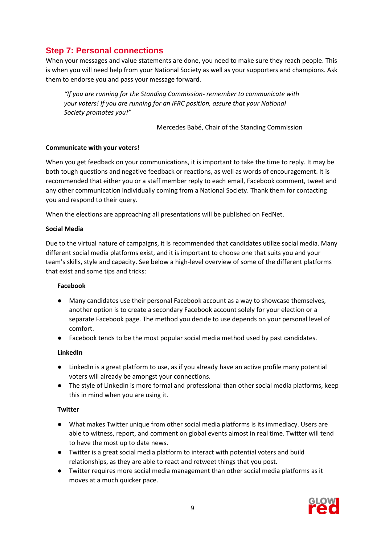# <span id="page-8-0"></span>**Step 7: Personal connections**

When your messages and value statements are done, you need to make sure they reach people. This is when you will need help from your National Society as well as your supporters and champions. Ask them to endorse you and pass your message forward.

*"If you are running for the Standing Commission- remember to communicate with your voters! If you are running for an IFRC position, assure that your National Society promotes you!"* 

Mercedes Babé, Chair of the Standing Commission

#### **Communicate with your voters!**

When you get feedback on your communications, it is important to take the time to reply. It may be both tough questions and negative feedback or reactions, as well as words of encouragement. It is recommended that either you or a staff member reply to each email, Facebook comment, tweet and any other communication individually coming from a National Society. Thank them for contacting you and respond to their query.

When the elections are approaching all presentations will be published on FedNet.

#### **Social Media**

Due to the virtual nature of campaigns, it is recommended that candidates utilize social media. Many different social media platforms exist, and it is important to choose one that suits you and your team's skills, style and capacity. See below a high-level overview of some of the different platforms that exist and some tips and tricks:

#### **Facebook**

- Many candidates use their personal Facebook account as a way to showcase themselves, another option is to create a secondary Facebook account solely for your election or a separate Facebook page. The method you decide to use depends on your personal level of comfort.
- Facebook tends to be the most popular social media method used by past candidates.

#### **LinkedIn**

- LinkedIn is a great platform to use, as if you already have an active profile many potential voters will already be amongst your connections.
- The style of LinkedIn is more formal and professional than other social media platforms, keep this in mind when you are using it.

#### **Twitter**

- What makes Twitter unique from other social media platforms is its immediacy. Users are able to witness, report, and comment on global events almost in real time. Twitter will tend to have the most up to date news.
- Twitter is a great social media platform to interact with potential voters and build relationships, as they are able to react and retweet things that you post.
- Twitter requires more social media management than other social media platforms as it moves at a much quicker pace.

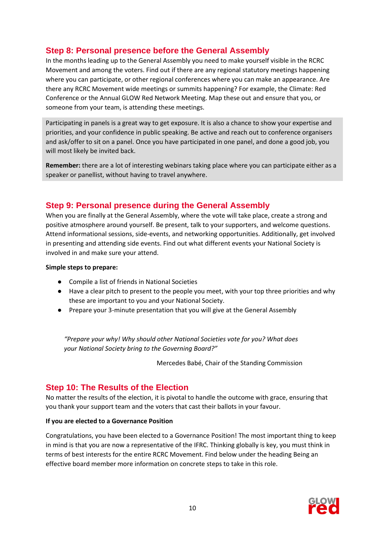# <span id="page-9-0"></span>**Step 8: Personal presence before the General Assembly**

In the months leading up to the General Assembly you need to make yourself visible in the RCRC Movement and among the voters. Find out if there are any regional statutory meetings happening where you can participate, or other regional conferences where you can make an appearance. Are there any RCRC Movement wide meetings or summits happening? For example, the Climate: Red Conference or the Annual GLOW Red Network Meeting. Map these out and ensure that you, or someone from your team, is attending these meetings.

Participating in panels is a great way to get exposure. It is also a chance to show your expertise and priorities, and your confidence in public speaking. Be active and reach out to conference organisers and ask/offer to sit on a panel. Once you have participated in one panel, and done a good job, you will most likely be invited back.

**Remember:** there are a lot of interesting webinars taking place where you can participate either as a speaker or panellist, without having to travel anywhere.

## <span id="page-9-1"></span>**Step 9: Personal presence during the General Assembly**

When you are finally at the General Assembly, where the vote will take place, create a strong and positive atmosphere around yourself. Be present, talk to your supporters, and welcome questions. Attend informational sessions, side-events, and networking opportunities. Additionally, get involved in presenting and attending side events. Find out what different events your National Society is involved in and make sure your attend.

#### **Simple steps to prepare:**

- Compile a list of friends in National Societies
- Have a clear pitch to present to the people you meet, with your top three priorities and why these are important to you and your National Society.
- Prepare your 3-minute presentation that you will give at the General Assembly

*"Prepare your why! Why should other National Societies vote for you? What does your National Society bring to the Governing Board?"*

Mercedes Babé, Chair of the Standing Commission

# <span id="page-9-2"></span>**Step 10: The Results of the Election**

No matter the results of the election, it is pivotal to handle the outcome with grace, ensuring that you thank your support team and the voters that cast their ballots in your favour.

## **If you are elected to a Governance Position**

Congratulations, you have been elected to a Governance Position! The most important thing to keep in mind is that you are now a representative of the IFRC. Thinking globally is key, you must think in terms of best interests for the entire RCRC Movement. Find below under the heading Being an effective board member more information on concrete steps to take in this role.

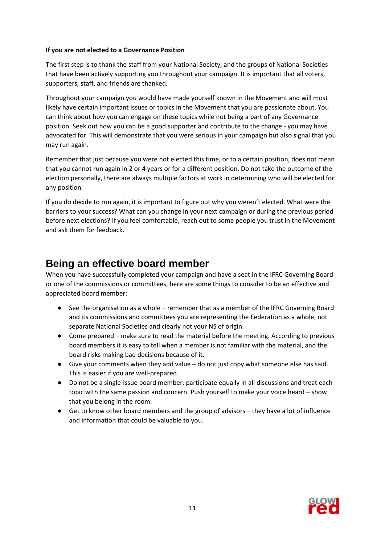#### **If you are not elected to a Governance Position**

The first step is to thank the staff from your National Society, and the groups of National Societies that have been actively supporting you throughout your campaign. It is important that all voters, supporters, staff, and friends are thanked.

Throughout your campaign you would have made yourself known in the Movement and will most likely have certain important issues or topics in the Movement that you are passionate about. You can think about how you can engage on these topics while not being a part of any Governance position. Seek out how you can be a good supporter and contribute to the change - you may have advocated for. This will demonstrate that you were serious in your campaign but also signal that you may run again.

Remember that just because you were not elected this time, or to a certain position, does not mean that you cannot run again in 2 or 4 years or for a different position. Do not take the outcome of the election personally, there are always multiple factors at work in determining who will be elected for any position.

If you do decide to run again, it is important to figure out why you weren't elected. What were the barriers to your success? What can you change in your next campaign or during the previous period before next elections? If you feel comfortable, reach out to some people you trust in the Movement and ask them for feedback.

# <span id="page-10-0"></span>**Being an effective board member**

When you have successfully completed your campaign and have a seat in the IFRC Governing Board or one of the commissions or committees, here are some things to consider to be an effective and appreciated board member:

- See the organisation as a whole remember that as a member of the IFRC Governing Board and its commissions and committees you are representing the Federation as a whole, not separate National Societies and clearly not your NS of origin.
- Come prepared make sure to read the material before the meeting. According to previous board members it is easy to tell when a member is not familiar with the material, and the board risks making bad decisions because of it.
- $\bullet$  Give your comments when they add value do not just copy what someone else has said. This is easier if you are well-prepared.
- Do not be a single-issue board member, participate equally in all discussions and treat each topic with the same passion and concern. Push yourself to make your voice heard – show that you belong in the room.
- Get to know other board members and the group of advisors they have a lot of influence and information that could be valuable to you.

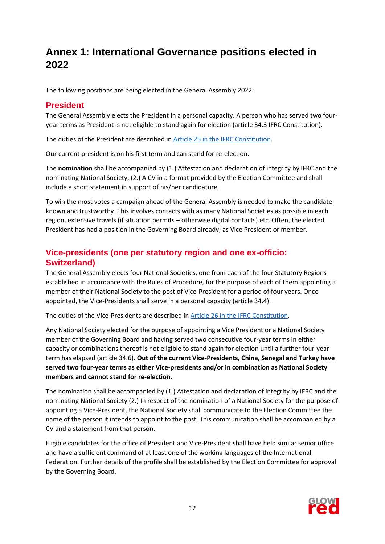# <span id="page-11-0"></span>**Annex 1: International Governance positions elected in 2022**

The following positions are being elected in the General Assembly 2022:

## <span id="page-11-1"></span>**President**

The General Assembly elects the President in a personal capacity. A person who has served two fouryear terms as President is not eligible to stand again for election (article 34.3 IFRC Constitution).

The duties of the President are described in [Article 25 in the IFRC Constitution.](https://media.ifrc.org/ifrc/wp-content/uploads/sites/5/2020/02/01_IFRC-Constitution-2019-EN.pdf)

Our current president is on his first term and can stand for re-election.

The **nomination** shall be accompanied by (1.) Attestation and declaration of integrity by IFRC and the nominating National Society, (2.) A CV in a format provided by the Election Committee and shall include a short statement in support of his/her candidature.

To win the most votes a campaign ahead of the General Assembly is needed to make the candidate known and trustworthy. This involves contacts with as many National Societies as possible in each region, extensive travels (if situation permits – otherwise digital contacts) etc. Often, the elected President has had a position in the Governing Board already, as Vice President or member.

# <span id="page-11-2"></span>**Vice-presidents (one per statutory region and one ex-officio: Switzerland)**

The General Assembly elects four National Societies, one from each of the four Statutory Regions established in accordance with the Rules of Procedure, for the purpose of each of them appointing a member of their National Society to the post of Vice-President for a period of four years. Once appointed, the Vice-Presidents shall serve in a personal capacity (article 34.4).

The duties of the Vice-Presidents are described i[n Article 26 in the IFRC Constitution.](https://media.ifrc.org/ifrc/wp-content/uploads/sites/5/2020/02/01_IFRC-Constitution-2019-EN.pdf)

Any National Society elected for the purpose of appointing a Vice President or a National Society member of the Governing Board and having served two consecutive four-year terms in either capacity or combinations thereof is not eligible to stand again for election until a further four-year term has elapsed (article 34.6). **Out of the current Vice-Presidents, China, Senegal and Turkey have served two four-year terms as either Vice-presidents and/or in combination as National Society members and cannot stand for re-election.**

The nomination shall be accompanied by (1.) Attestation and declaration of integrity by IFRC and the nominating National Society (2.) In respect of the nomination of a National Society for the purpose of appointing a Vice-President, the National Society shall communicate to the Election Committee the name of the person it intends to appoint to the post. This communication shall be accompanied by a CV and a statement from that person.

Eligible candidates for the office of President and Vice-President shall have held similar senior office and have a sufficient command of at least one of the working languages of the International Federation. Further details of the profile shall be established by the Election Committee for approval by the Governing Board.

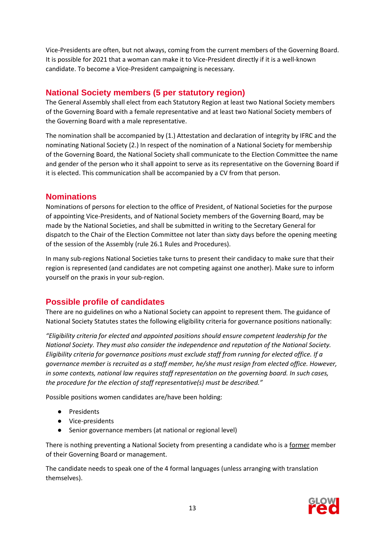Vice-Presidents are often, but not always, coming from the current members of the Governing Board. It is possible for 2021 that a woman can make it to Vice-President directly if it is a well-known candidate. To become a Vice-President campaigning is necessary.

# <span id="page-12-0"></span>**National Society members (5 per statutory region)**

The General Assembly shall elect from each Statutory Region at least two National Society members of the Governing Board with a female representative and at least two National Society members of the Governing Board with a male representative.

The nomination shall be accompanied by (1.) Attestation and declaration of integrity by IFRC and the nominating National Society (2.) In respect of the nomination of a National Society for membership of the Governing Board, the National Society shall communicate to the Election Committee the name and gender of the person who it shall appoint to serve as its representative on the Governing Board if it is elected. This communication shall be accompanied by a CV from that person.

## <span id="page-12-1"></span>**Nominations**

Nominations of persons for election to the office of President, of National Societies for the purpose of appointing Vice-Presidents, and of National Society members of the Governing Board, may be made by the National Societies, and shall be submitted in writing to the Secretary General for dispatch to the Chair of the Election Committee not later than sixty days before the opening meeting of the session of the Assembly (rule 26.1 Rules and Procedures).

In many sub-regions National Societies take turns to present their candidacy to make sure that their region is represented (and candidates are not competing against one another). Make sure to inform yourself on the praxis in your sub-region.

# <span id="page-12-2"></span>**Possible profile of candidates**

There are no guidelines on who a National Society can appoint to represent them. The guidance of National Society Statutes states the following eligibility criteria for governance positions nationally:

*"Eligibility criteria for elected and appointed positions should ensure competent leadership for the National Society. They must also consider the independence and reputation of the National Society. Eligibility criteria for governance positions must exclude staff from running for elected office. If a governance member is recruited as a staff member, he/she must resign from elected office. However, in some contexts, national law requires staff representation on the governing board. In such cases, the procedure for the election of staff representative(s) must be described."*

Possible positions women candidates are/have been holding:

- Presidents
- Vice-presidents
- Senior governance members (at national or regional level)

There is nothing preventing a National Society from presenting a candidate who is a former member of their Governing Board or management.

The candidate needs to speak one of the 4 formal languages (unless arranging with translation themselves).

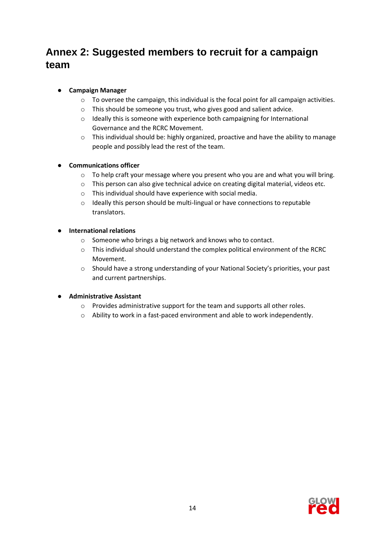# <span id="page-13-0"></span>**Annex 2: Suggested members to recruit for a campaign team**

## ● **Campaign Manager**

- $\circ$  To oversee the campaign, this individual is the focal point for all campaign activities.
- o This should be someone you trust, who gives good and salient advice.
- o Ideally this is someone with experience both campaigning for International Governance and the RCRC Movement.
- o This individual should be: highly organized, proactive and have the ability to manage people and possibly lead the rest of the team.

## **Communications officer**

- o To help craft your message where you present who you are and what you will bring.
- o This person can also give technical advice on creating digital material, videos etc.
- o This individual should have experience with social media.
- o Ideally this person should be multi-lingual or have connections to reputable translators.

#### ● **International relations**

- o Someone who brings a big network and knows who to contact.
- o This individual should understand the complex political environment of the RCRC Movement.
- o Should have a strong understanding of your National Society's priorities, your past and current partnerships.

## ● **Administrative Assistant**

- o Provides administrative support for the team and supports all other roles.
- $\circ$  Ability to work in a fast-paced environment and able to work independently.

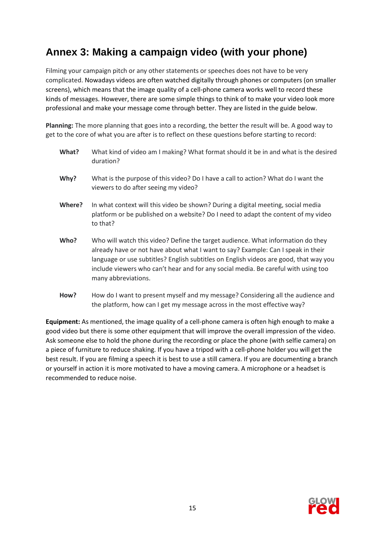# <span id="page-14-0"></span>**Annex 3: Making a campaign video (with your phone)**

Filming your campaign pitch or any other statements or speeches does not have to be very complicated. Nowadays videos are often watched digitally through phones or computers (on smaller screens), which means that the image quality of a cell-phone camera works well to record these kinds of messages. However, there are some simple things to think of to make your video look more professional and make your message come through better. They are listed in the guide below.

**Planning:** The more planning that goes into a recording, the better the result will be. A good way to get to the core of what you are after is to reflect on these questions before starting to record:

| What?  | What kind of video am I making? What format should it be in and what is the desired<br>duration?                                                                                                                                                                                                                                                                          |
|--------|---------------------------------------------------------------------------------------------------------------------------------------------------------------------------------------------------------------------------------------------------------------------------------------------------------------------------------------------------------------------------|
| Why?   | What is the purpose of this video? Do I have a call to action? What do I want the<br>viewers to do after seeing my video?                                                                                                                                                                                                                                                 |
| Where? | In what context will this video be shown? During a digital meeting, social media<br>platform or be published on a website? Do I need to adapt the content of my video<br>to that?                                                                                                                                                                                         |
| Who?   | Who will watch this video? Define the target audience. What information do they<br>already have or not have about what I want to say? Example: Can I speak in their<br>language or use subtitles? English subtitles on English videos are good, that way you<br>include viewers who can't hear and for any social media. Be careful with using too<br>many abbreviations. |
| How?   | How do I want to present myself and my message? Considering all the audience and<br>the platform, how can I get my message across in the most effective way?                                                                                                                                                                                                              |

**Equipment:** As mentioned, the image quality of a cell-phone camera is often high enough to make a good video but there is some other equipment that will improve the overall impression of the video. Ask someone else to hold the phone during the recording or place the phone (with selfie camera) on a piece of furniture to reduce shaking. If you have a tripod with a cell-phone holder you will get the best result. If you are filming a speech it is best to use a still camera. If you are documenting a branch or yourself in action it is more motivated to have a moving camera. A microphone or a headset is recommended to reduce noise.

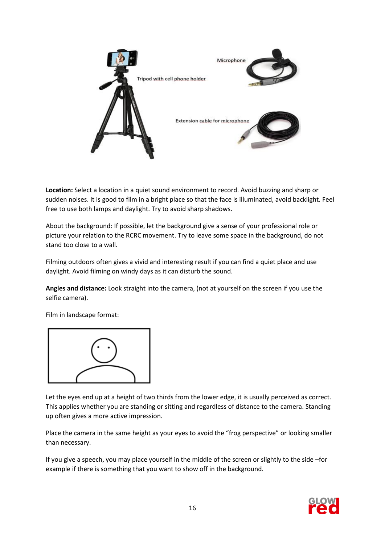

**Location:** Select a location in a quiet sound environment to record. Avoid buzzing and sharp or sudden noises. It is good to film in a bright place so that the face is illuminated, avoid backlight. Feel free to use both lamps and daylight. Try to avoid sharp shadows.

About the background: If possible, let the background give a sense of your professional role or picture your relation to the RCRC movement. Try to leave some space in the background, do not stand too close to a wall.

Filming outdoors often gives a vivid and interesting result if you can find a quiet place and use daylight. Avoid filming on windy days as it can disturb the sound.

**Angles and distance:** Look straight into the camera, (not at yourself on the screen if you use the selfie camera).

Film in landscape format:



Let the eyes end up at a height of two thirds from the lower edge, it is usually perceived as correct. This applies whether you are standing or sitting and regardless of distance to the camera. Standing up often gives a more active impression.

Place the camera in the same height as your eyes to avoid the "frog perspective" or looking smaller than necessary.

If you give a speech, you may place yourself in the middle of the screen or slightly to the side –for example if there is something that you want to show off in the background.

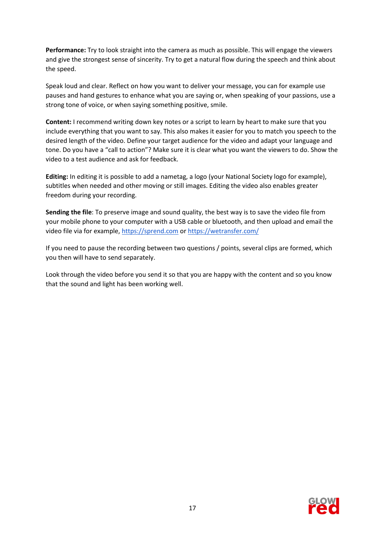**Performance:** Try to look straight into the camera as much as possible. This will engage the viewers and give the strongest sense of sincerity. Try to get a natural flow during the speech and think about the speed.

Speak loud and clear. Reflect on how you want to deliver your message, you can for example use pauses and hand gestures to enhance what you are saying or, when speaking of your passions, use a strong tone of voice, or when saying something positive, smile.

**Content:** I recommend writing down key notes or a script to learn by heart to make sure that you include everything that you want to say. This also makes it easier for you to match you speech to the desired length of the video. Define your target audience for the video and adapt your language and tone. Do you have a "call to action"? Make sure it is clear what you want the viewers to do. Show the video to a test audience and ask for feedback.

**Editing:** In editing it is possible to add a nametag, a logo (your National Society logo for example), subtitles when needed and other moving or still images. Editing the video also enables greater freedom during your recording.

**Sending the file**: To preserve image and sound quality, the best way is to save the video file from your mobile phone to your computer with a USB cable or bluetooth, and then upload and email the video file via for example, [https://sprend.com](https://sprend.com/) or <https://wetransfer.com/>

If you need to pause the recording between two questions / points, several clips are formed, which you then will have to send separately.

Look through the video before you send it so that you are happy with the content and so you know that the sound and light has been working well.